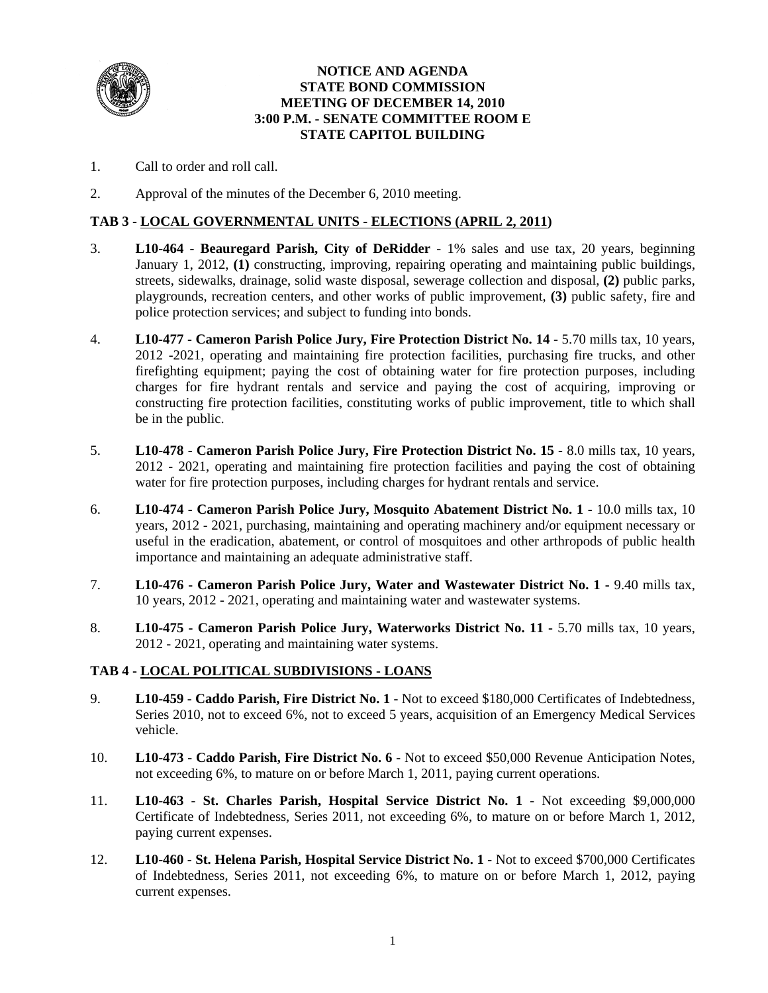

## **NOTICE AND AGENDA STATE BOND COMMISSION MEETING OF DECEMBER 14, 2010 3:00 P.M. - SENATE COMMITTEE ROOM E STATE CAPITOL BUILDING**

- 1. Call to order and roll call.
- 2. Approval of the minutes of the December 6, 2010 meeting.

# **TAB 3 - LOCAL GOVERNMENTAL UNITS - ELECTIONS (APRIL 2, 2011)**

- 3. **L10-464 Beauregard Parish, City of DeRidder** 1% sales and use tax, 20 years, beginning January 1, 2012, **(1)** constructing, improving, repairing operating and maintaining public buildings, streets, sidewalks, drainage, solid waste disposal, sewerage collection and disposal, **(2)** public parks, playgrounds, recreation centers, and other works of public improvement, **(3)** public safety, fire and police protection services; and subject to funding into bonds.
- 4. **L10-477 Cameron Parish Police Jury, Fire Protection District No. 14** 5.70 mills tax, 10 years, 2012 -2021, operating and maintaining fire protection facilities, purchasing fire trucks, and other firefighting equipment; paying the cost of obtaining water for fire protection purposes, including charges for fire hydrant rentals and service and paying the cost of acquiring, improving or constructing fire protection facilities, constituting works of public improvement, title to which shall be in the public.
- 5. **L10-478 Cameron Parish Police Jury, Fire Protection District No. 15** 8.0 mills tax, 10 years, 2012 - 2021, operating and maintaining fire protection facilities and paying the cost of obtaining water for fire protection purposes, including charges for hydrant rentals and service.
- 6. **L10-474 Cameron Parish Police Jury, Mosquito Abatement District No. 1** 10.0 mills tax, 10 years, 2012 - 2021, purchasing, maintaining and operating machinery and/or equipment necessary or useful in the eradication, abatement, or control of mosquitoes and other arthropods of public health importance and maintaining an adequate administrative staff.
- 7. **L10-476 Cameron Parish Police Jury, Water and Wastewater District No. 1 9.40 mills tax,** 10 years, 2012 - 2021, operating and maintaining water and wastewater systems.
- 8. **L10-475 Cameron Parish Police Jury, Waterworks District No. 11 5.70 mills tax, 10 years,** 2012 - 2021, operating and maintaining water systems.

#### **TAB 4 - LOCAL POLITICAL SUBDIVISIONS - LOANS**

- 9. **L10-459 Caddo Parish, Fire District No. 1** Not to exceed \$180,000 Certificates of Indebtedness, Series 2010, not to exceed 6%, not to exceed 5 years, acquisition of an Emergency Medical Services vehicle.
- 10. **L10-473 Caddo Parish, Fire District No. 6 -** Not to exceed \$50,000 Revenue Anticipation Notes, not exceeding 6%, to mature on or before March 1, 2011, paying current operations.
- 11. **L10-463 St. Charles Parish, Hospital Service District No. 1 -** Not exceeding \$9,000,000 Certificate of Indebtedness, Series 2011, not exceeding 6%, to mature on or before March 1, 2012, paying current expenses.
- 12. **L10-460 St. Helena Parish, Hospital Service District No. 1 -** Not to exceed \$700,000 Certificates of Indebtedness, Series 2011, not exceeding 6%, to mature on or before March 1, 2012, paying current expenses.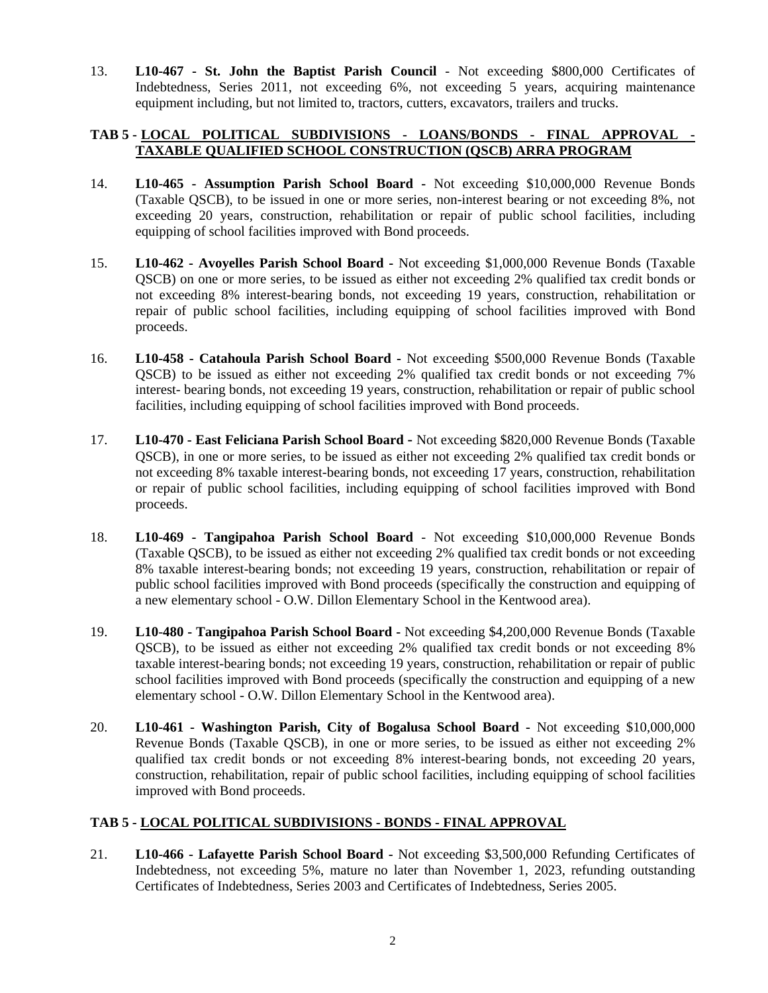13. **L10-467 - St. John the Baptist Parish Council** - Not exceeding \$800,000 Certificates of Indebtedness, Series 2011, not exceeding 6%, not exceeding 5 years, acquiring maintenance equipment including, but not limited to, tractors, cutters, excavators, trailers and trucks.

# **TAB 5 - LOCAL POLITICAL SUBDIVISIONS - LOANS/BONDS - FINAL APPROVAL - TAXABLE QUALIFIED SCHOOL CONSTRUCTION (QSCB) ARRA PROGRAM**

- 14. **L10-465 Assumption Parish School Board -** Not exceeding \$10,000,000 Revenue Bonds (Taxable QSCB), to be issued in one or more series, non-interest bearing or not exceeding 8%, not exceeding 20 years, construction, rehabilitation or repair of public school facilities, including equipping of school facilities improved with Bond proceeds.
- 15. **L10-462 Avoyelles Parish School Board** Not exceeding \$1,000,000 Revenue Bonds (Taxable QSCB) on one or more series, to be issued as either not exceeding 2% qualified tax credit bonds or not exceeding 8% interest-bearing bonds, not exceeding 19 years, construction, rehabilitation or repair of public school facilities, including equipping of school facilities improved with Bond proceeds.
- 16. **L10-458 Catahoula Parish School Board** Not exceeding \$500,000 Revenue Bonds (Taxable QSCB) to be issued as either not exceeding 2% qualified tax credit bonds or not exceeding 7% interest- bearing bonds, not exceeding 19 years, construction, rehabilitation or repair of public school facilities, including equipping of school facilities improved with Bond proceeds.
- 17. **L10-470 East Feliciana Parish School Board -** Not exceeding \$820,000 Revenue Bonds (Taxable QSCB), in one or more series, to be issued as either not exceeding 2% qualified tax credit bonds or not exceeding 8% taxable interest-bearing bonds, not exceeding 17 years, construction, rehabilitation or repair of public school facilities, including equipping of school facilities improved with Bond proceeds.
- 18. **L10-469 Tangipahoa Parish School Board** Not exceeding \$10,000,000 Revenue Bonds (Taxable QSCB), to be issued as either not exceeding 2% qualified tax credit bonds or not exceeding 8% taxable interest-bearing bonds; not exceeding 19 years, construction, rehabilitation or repair of public school facilities improved with Bond proceeds (specifically the construction and equipping of a new elementary school - O.W. Dillon Elementary School in the Kentwood area).
- 19. **L10**-**480 Tangipahoa Parish School Board** Not exceeding \$4,200,000 Revenue Bonds (Taxable QSCB), to be issued as either not exceeding 2% qualified tax credit bonds or not exceeding 8% taxable interest-bearing bonds; not exceeding 19 years, construction, rehabilitation or repair of public school facilities improved with Bond proceeds (specifically the construction and equipping of a new elementary school - O.W. Dillon Elementary School in the Kentwood area).
- 20. **L10-461 Washington Parish, City of Bogalusa School Board** Not exceeding \$10,000,000 Revenue Bonds (Taxable QSCB), in one or more series, to be issued as either not exceeding 2% qualified tax credit bonds or not exceeding 8% interest-bearing bonds, not exceeding 20 years, construction, rehabilitation, repair of public school facilities, including equipping of school facilities improved with Bond proceeds.

## **TAB 5 - LOCAL POLITICAL SUBDIVISIONS - BONDS - FINAL APPROVAL**

21. **L10-466 - Lafayette Parish School Board -** Not exceeding \$3,500,000 Refunding Certificates of Indebtedness, not exceeding 5%, mature no later than November 1, 2023, refunding outstanding Certificates of Indebtedness, Series 2003 and Certificates of Indebtedness, Series 2005.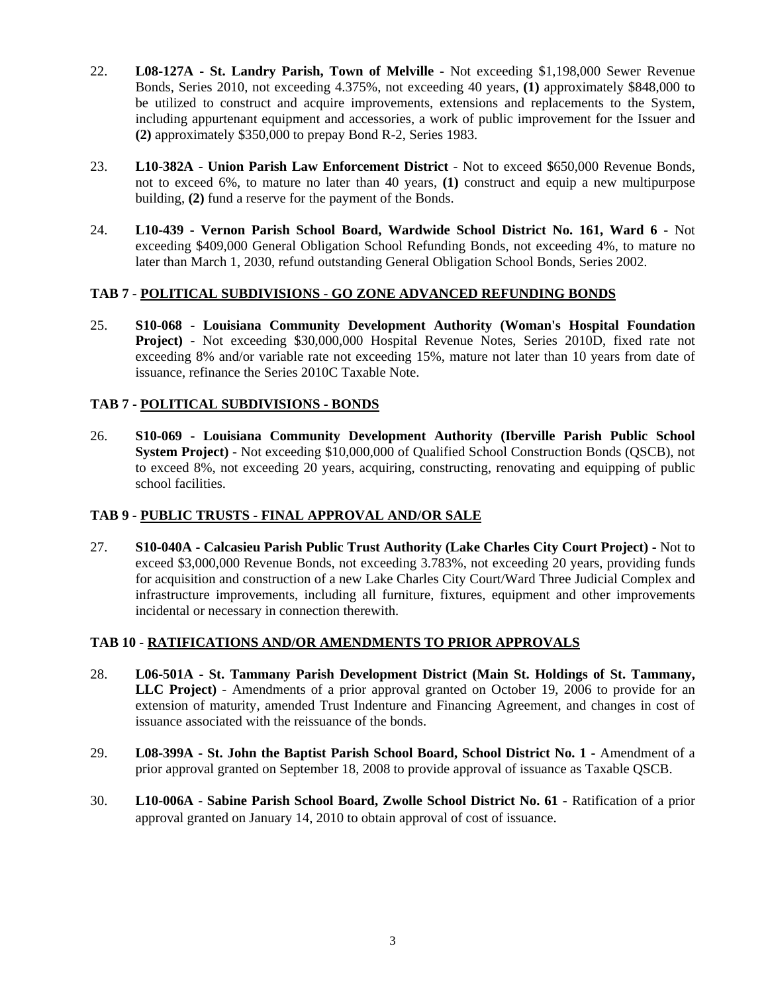- 22. **L08-127A St. Landry Parish, Town of Melville** Not exceeding \$1,198,000 Sewer Revenue Bonds, Series 2010, not exceeding 4.375%, not exceeding 40 years, **(1)** approximately \$848,000 to be utilized to construct and acquire improvements, extensions and replacements to the System, including appurtenant equipment and accessories, a work of public improvement for the Issuer and **(2)** approximately \$350,000 to prepay Bond R-2, Series 1983.
- 23. **L10-382A Union Parish Law Enforcement District** Not to exceed \$650,000 Revenue Bonds, not to exceed 6%, to mature no later than 40 years, **(1)** construct and equip a new multipurpose building, **(2)** fund a reserve for the payment of the Bonds.
- 24. **L10-439 Vernon Parish School Board, Wardwide School District No. 161, Ward 6** Not exceeding \$409,000 General Obligation School Refunding Bonds, not exceeding 4%, to mature no later than March 1, 2030, refund outstanding General Obligation School Bonds, Series 2002.

## **TAB 7 - POLITICAL SUBDIVISIONS - GO ZONE ADVANCED REFUNDING BONDS**

25. **S10-068 - Louisiana Community Development Authority (Woman's Hospital Foundation Project) -** Not exceeding \$30,000,000 Hospital Revenue Notes, Series 2010D, fixed rate not exceeding 8% and/or variable rate not exceeding 15%, mature not later than 10 years from date of issuance, refinance the Series 2010C Taxable Note.

## **TAB 7 - POLITICAL SUBDIVISIONS - BONDS**

26. **S10-069 - Louisiana Community Development Authority (Iberville Parish Public School System Project)** - Not exceeding \$10,000,000 of Qualified School Construction Bonds (QSCB), not to exceed 8%, not exceeding 20 years, acquiring, constructing, renovating and equipping of public school facilities.

#### **TAB 9 - PUBLIC TRUSTS - FINAL APPROVAL AND/OR SALE**

27. **S10-040A - Calcasieu Parish Public Trust Authority (Lake Charles City Court Project) -** Not to exceed \$3,000,000 Revenue Bonds, not exceeding 3.783%, not exceeding 20 years, providing funds for acquisition and construction of a new Lake Charles City Court/Ward Three Judicial Complex and infrastructure improvements, including all furniture, fixtures, equipment and other improvements incidental or necessary in connection therewith.

#### **TAB 10 - RATIFICATIONS AND/OR AMENDMENTS TO PRIOR APPROVALS**

- 28. **L06-501A St. Tammany Parish Development District (Main St. Holdings of St. Tammany, LLC Project)** - Amendments of a prior approval granted on October 19, 2006 to provide for an extension of maturity, amended Trust Indenture and Financing Agreement, and changes in cost of issuance associated with the reissuance of the bonds.
- 29. **L08-399A St. John the Baptist Parish School Board, School District No. 1 Amendment of a** prior approval granted on September 18, 2008 to provide approval of issuance as Taxable QSCB.
- 30. **L10-006A Sabine Parish School Board, Zwolle School District No. 61 -** Ratification of a prior approval granted on January 14, 2010 to obtain approval of cost of issuance.